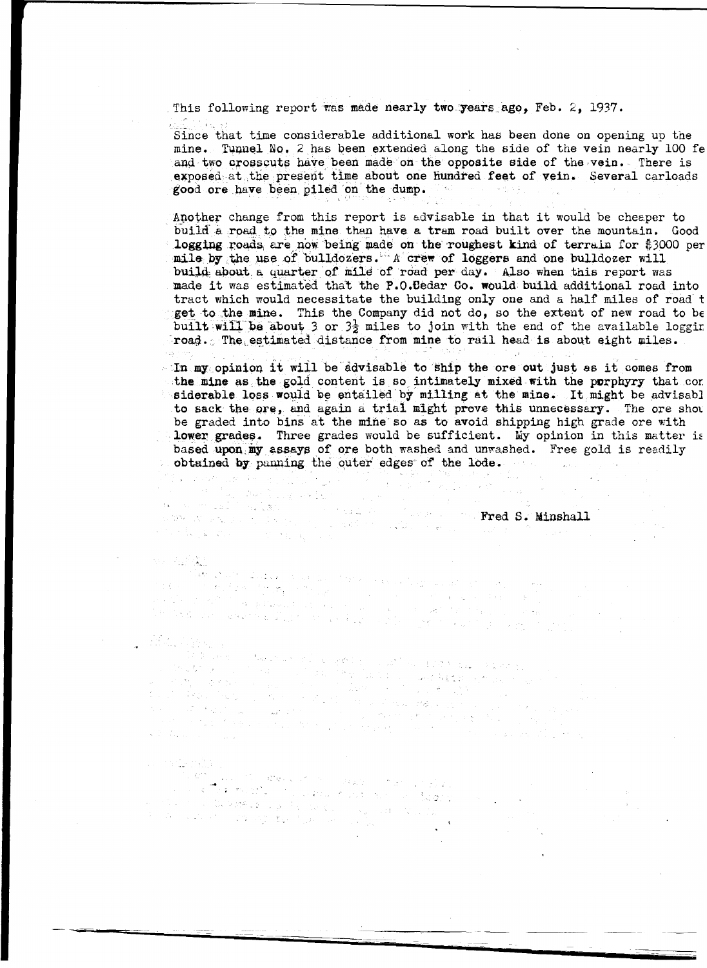This following report was made nearly two years ago, Feb. 2, 1937.

Since that time considerable additional work has been done on opening up the mine. Tunnel No. 2 has been extended along the side of the vein nearly 100 fe and two crosscuts have been made on the opposite side of the vein. There is exposed at the present time about one hundred feet of vein. Several carloads good ore have been piled on the dump. The series of the series of the series of the series of the series of the series of the series of the series of the series of the dump.

Another change from this report is advisable in that it would be cheaper to build a road to the mine than have a tram road built over the mountain. Good logging roads are now being made on the roughest kind of terrain for \$3000 per mile by the use of bulldozers. A crew of loggers and one bulldozer will build about a quarter of mile of road per day. Also when this report was made it was estimated that the P.O.Dedar Go. would build additional road into tract which would necessitate the building only one and a half miles of road get to the mine. This the Company did not do, so the extent of new road to be built will be about 3 or 3<sup>1</sup>/<sub>2</sub> miles to join with the end of the available loggir  $r$ road. The estimated distance from mine to rail head is about eight miles.

 $\cdot$  In my opinion it will be advisable to ship the ore out just as it comes from the mine as the gold content is so intimately mixed with the porphyry that cor siderable loss would be entailed by milling at the mine. It might be advisable to sack the ore, and again a trial might prove this unnecessary. The ore show be graded into bins at the mine so as to avoid shipping high grade ore with lower grades. Three grades would be sufficient. My opinion in this matter i: based upon my assays of ore both washed and unwashed. Free gold is readily obtained **by** punning the outer· edges· of the lode.  $\hat{z}^{\dagger}=\hat{z}^{\dagger}_{\alpha} \hat{z}^{\dagger}_{\alpha} \hat{z}^{\dagger}_{\alpha}$ 

ワルチン かくしょう ハル

Fred S. Minshall<br>Fred S. Minshall<br>S. Minshall S. Minshall 

#### 98 福度

 $\mathbb{S}_{\geq 0}$  , and  $\mathcal{O}=\mathbb{Z}[\mathcal{S}]\cup\mathbb{R}$ 

าร์ตี้ที่ 25 มีนาคม 25 มีนาคม 25 มีนาคม 25 มีนาคม 25 มีนาคม 25 มีนาคม 25 มีนาคม 25 มีนาคม 25 มีนาคม 25 มีนาคม<br>25 มาร์ต 25 มีนาคม 25 มีนาคม 25 มีนาคม 25 มีนาคม 25 มีนาคม 25 มีนาคม 25 มีนาคม 25 มีนาคม 25 มีนาคม 25 มีนาคม 2 1940.00  $\mathcal{O}(\log\log n)$ 

#### $\mathcal{O}(\mathcal{Q},\mathcal{O}(\frac{k}{\log n}))$

e (1914–1913)<br>1916 – George Martin, american francouzsky<br>1916 – John Martin, politik francouzsky francouzsky<br>1916 – George Martin, american francouzsky<br>1916 – George Martin, american francouzsky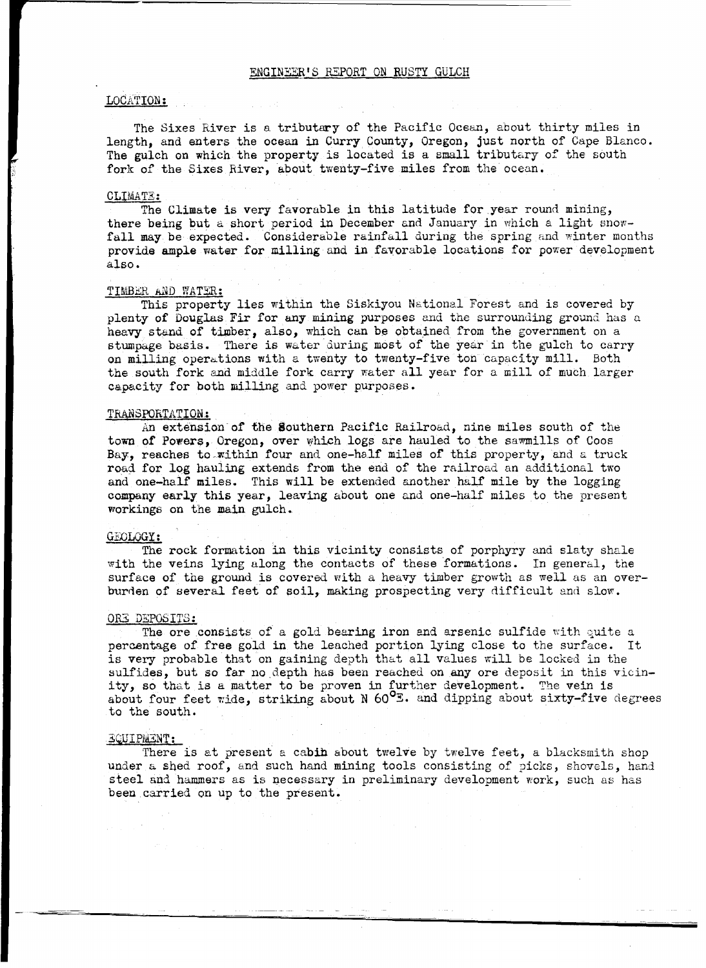#### ENGINEER'S REPORT ON RUSTY GULCH

#### LOCATION:

The Sixes River is a tributary of the Pacific Ocean, about thirty miles in length, and enters the ocean in Curry County, Oregon, just north of Cape Blanco. The gulch on which the property is located is a small tributary of the south fork of the Sixes River, about twenty-five miles from the ocean.

#### CLIMATE:

The Climate is very favorable in this latitude for year round mining, there being but a short period in December and January in which a light snowfall may be expected. Considerable rainfall during the spring and winter months provide ample water for milling and in favorable locations for power development also.

#### TIMBER AND WATER:

This property lies within the Siskiyou National Forest and is covered by plenty of Douglas Fir for any mining purposes and the surrounding ground has a heavy stand of timber, also, which can be obtained from the government on a stumpage basis. There is water during most of the year in the gulch to carry on milling operations with a twenty to twenty-five ton capacity mill. Both the south fork and middle fork carry water all year for a mill of much larger capacity for both milling and power purposes.

#### TRANSPORTATION.:

An extension of the Southern Pacific Railroad, nine miles south of the town of Powers, Oregon, over which logs are hauled to the sawmills of Coos Bay, reaches to within four and one-half miles of this property, and a truck road for log hauiing extends from the end of the railroad an additional two and one-half miles. This will be extended another half mile by the logging company early this year, leaving about one and one-half miles to the present workings on the main gulch.

#### GEOLOGY:

The rock formation in this vicinity consists of porphyry and slaty shale with the veins lying along the contacts of these formations. In general, the surface of the ground is covered with a heavy timber growth as well as an overburden of several feet of soil, making prospecting very difficult and slow.

#### OR3 DEPOSITS:

The ore consists of a gold bearing iron and arsenic sulfide with quite a percentage of free gold in the leached portion lying close to the surface. It is very probable that on gaining depth that all values will be locked in the sulfides, but so far no depth has been reached on any ore deposit in this vicinity, so that is a matter to be proven in further development. The vein is about four feet wide, striking about N  $60^{\circ}$ . and dipping about sixty-five degrees to the south.

#### 3.QJJIPMENT:

There is at present a cabih about twelve by twelve feet, a blacksmith shop under a shed roof, and such hand mining tools consisting of picks, shovels, hand steel and hammers as is necessary in preliminary development work, such as has been carried on up to the present.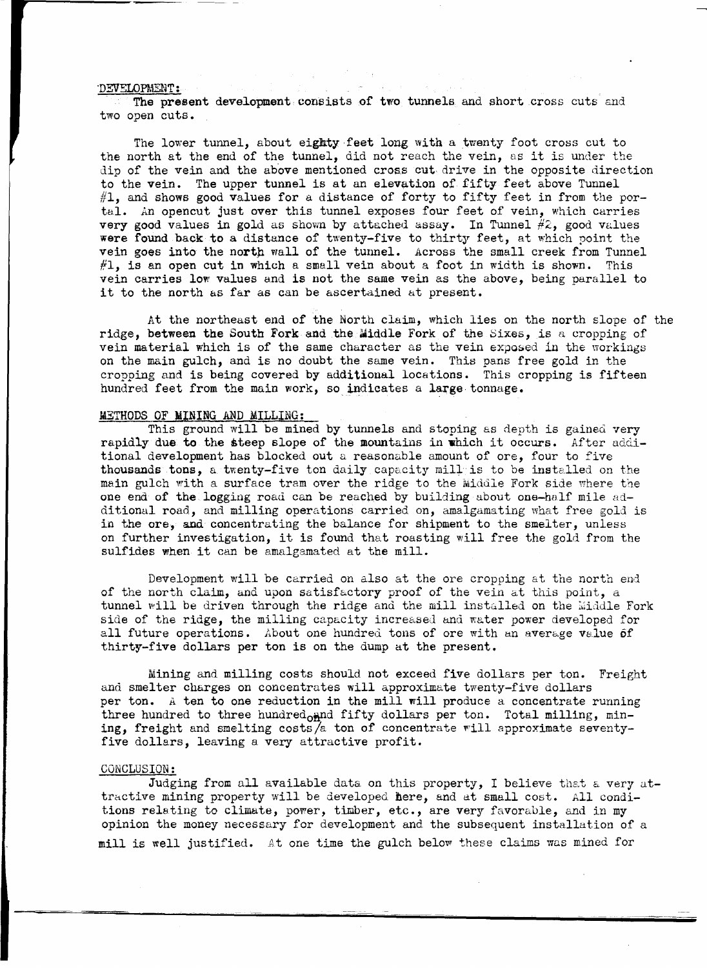#### 'DEVSLOPMENT:

The present development consists of two tunnels and short cross cuts and two open cuts.

The lower tunnel, about eighty feet long with a twenty foot cross cut to the north at the end of the tunnel, did not reach the vein, as it is under the dip of the vein and the above mentioned cross cut drive in the opposite direction to the vein. The upper tunnel is at an elevation of fifty feet above Tunnel  $#1$ , and shows good values for a distance of forty to fifty feet in from the portal. An opencut just over this tunnel exposes four feet of vein, which carries very good values in gold as shown by attached assay. In Tunnel  $#2$ , good values were found back to a distance of twenty-five to thirty feet, at which point the vein goes into the north wall of the tunnel. Across the small creek from Tunnel  $#1$ , is an open cut in which a small vein about a foot in width is shown. This vein carries low values end is not the same vein as the above, being parallel to it to the north as far as can be ascertained at present.

At the northeast end of the North claim, which lies on the north slope of the ridge, between the South Fork and the Middle Fork of the Sixes, is a cropping of vein material which is of the same character as the vein exposed in the workings on the main gulch, and is no doubt the same vein. This pans free gold in the cropping and is being covered by additional locations. This cropping is fifteen hundred feet from the main work, so indicates a **large** tonnage.

#### METHODS OF **MINING** AND MILLING:

This ground will be mined by tunnels and stoping as depth is gained very rapidly **due to** the steep slope of the mountains in **which** it occurs. After additional development has blocked out a reasonable amount of ore, four to five thousands tons, a twenty-five ton daily capacity mill is to be installed on the main gulch with a surface tram over the ridge to the Middle Fork side where the one end of the logging road can be reached by building about one-half mile additional road, and milling operations carried on, amalgamating what free gold is in the ore, and concentrating the balance for shipment to the smelter, unless on further investigation, it is found that roasting will free the gold from the sulfides when it can be amalgamated at the mill.

Development will be carried on also at the ore cropping at the north end of the north claim, and upon satisfactory proof of the vein at this point, a tunnel will be driven through the ridge and the mill installed on the Middle Fork side of the ridge, the milling capacity increased and water power developed for all future operations. About one hundred tons of ore with an average value of thirty-five dollars per ton is on the dump at the present.

Mining and milling costs should not exceed five dollars per ton. Freight and smelter charges on concentrates will approximate twenty-five dollars per ton. A ten to one reduction in the mill will produce a concentrate running three hundred to three hundred $_{\text{OH}}$ nd fifty dollars per ton. Total milling, mining, freight and smelting costs/a ton of concentrate will approximate seventyfive dollars, leaving a very attractive profit.

#### CONCLUSION:

Judging from all available data on this property, I believe that a very attractive mining property will be developed here, and at small cost. All conditions relating to climate, power, timber, etc., are very favorable, and in my opinion the money necessary for development and the subsequent installation of a mill is well justified. At one time the gulch below these claims was mined for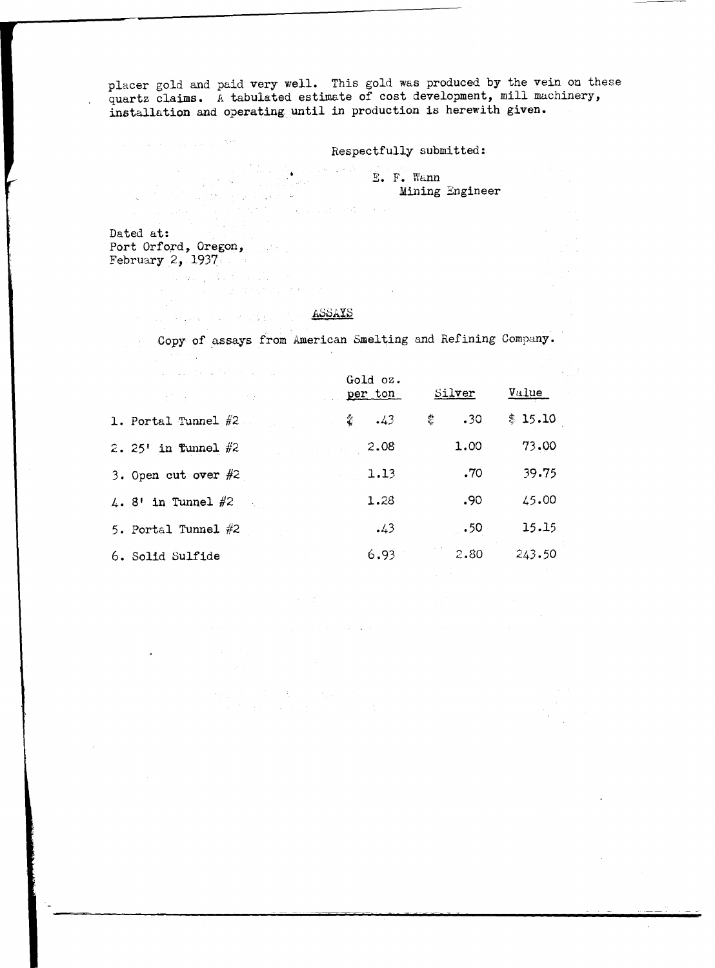placer gold and paid very well. This gold was produced by the vein on these quartz claims. A tabulated estimate of cost development, mill machinery, installation and operating until in production is herewith given.

Respectfully submitted:

a a china a china a china a china a china a china a china a china a china a china a china a china a china a ch<br>B. B. Mining Booth Mining Engineer  $\begin{split} &\frac{1}{2}\int_{0}^{2\pi} \int_{0}^{2\pi} \left( \log\left( \frac{1}{2\pi} \log\left( \frac{1}{2\pi} \right) \right) \log\left( \frac{1}{2\pi} \right) \right) \, d\mu \, d\mu \\ &\quad \ \ \int_{0}^{2\pi} \int_{0}^{2\pi} \int_{0}^{2\pi} \log\left( \frac{1}{2\pi} \log\left( \frac{1}{2\pi} \right) \right) \, d\mu \, d\mu \, d\mu \\ &\quad \ \ \int_{0}^{2\pi} \log\left( \frac{1}{2\pi} \log$ 

Dated at: Port Orford, Oregon, February  $2, 1937$ 

and a go

an sa gcólaí an t-air an<br>Coimige an sa gcólaí an t-air

 $\label{eq:2.1} \mathcal{L}_{\rm{max}}(\mathcal{A}) = \mathcal{L}_{\rm{max}}(\mathcal{A}) \mathcal{L}_{\rm{max}}(\mathcal{A}) = \frac{8 \sqrt{2} \left( \mathcal{A} \right)^{2} \left( \mathcal{A} \right)^{2}}{2 \sqrt{2} \left( \mathcal{A} \right)^{2} \left( \mathcal{A} \right)^{2}}$ 

# **ASSAYS**

Copy of assays from American Smelting and Refining Company.

| the company of the second control and company<br><u>per ton</u> | Gold oz.          | Silver   | Value   |
|-----------------------------------------------------------------|-------------------|----------|---------|
| 1. Portal Tunnel $#2$                                           | $\frac{2}{3}$ .43 | 흥<br>.30 | \$15.10 |
| 2. $25'$ in funnel $#2$                                         | 2.08              | 1.00     | 73.00   |
| 3. Open cut over $#2$                                           | 1.13              | .70      | 39.75   |
| $4.8'$ in Tunnel $#2$                                           | 1.28              | .90      | 45.00   |
| 5. Portal Tunnel $#2$                                           | .43               | .50      | 15.15   |
| 6. Solid Sulfide                                                | 6.93              | 2.80     | 243.50  |

 $\label{eq:2.1} \mathcal{L}(\mathcal{H}) = \mathcal{L}(\mathcal{H}) = \mathcal{L}(\mathcal{H}) = \mathcal{L}(\mathcal{H}) = \mathcal{L}(\mathcal{H})$ 

 $\label{eq:3.1} \mathcal{E} = \mathcal{E} \left[ \mathcal{E} \left( \mathcal{E} \right) \right] = \mathcal{E} \left[ \mathcal{E} \left( \mathcal{E} \right) \right] = \mathcal{E} \left( \mathcal{E} \right) = \mathcal{E} \left( \mathcal{E} \right)$ 

 $\mathbf{m} = \mathbf{w} \mathbf{u}$  , we have  $\mathbf{w} = \mathbf{w} \mathbf{u}$ 

 $\mathcal{F}(\mathcal{E}_{\text{c},k})$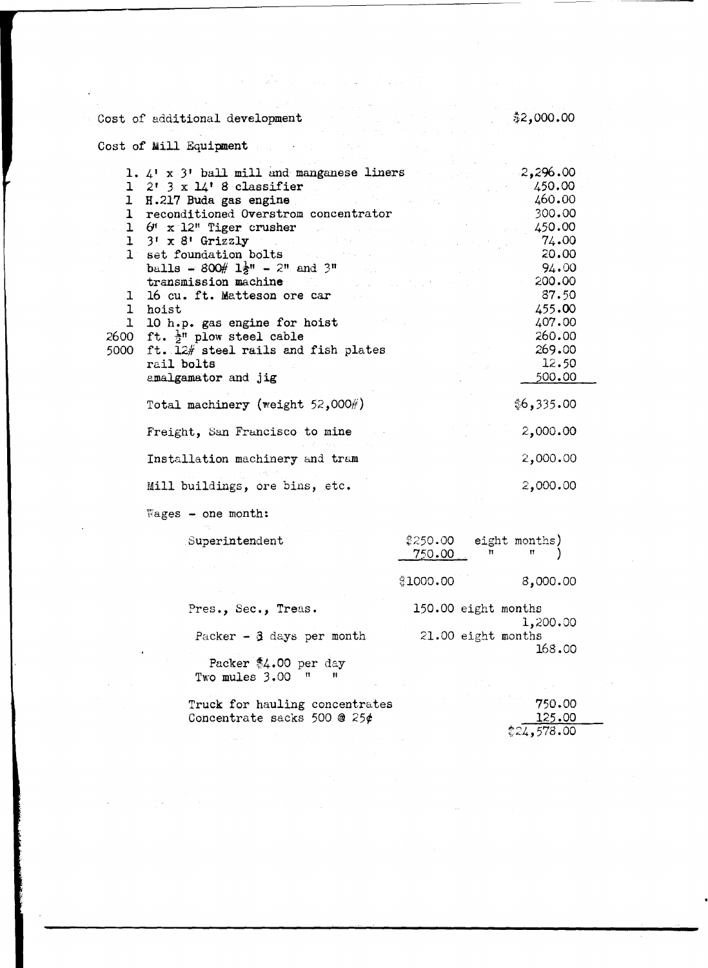| Cost of additional development                                                                                                                                                                                                | \$2,000.00                               |
|-------------------------------------------------------------------------------------------------------------------------------------------------------------------------------------------------------------------------------|------------------------------------------|
| Cost of Mill Equipment                                                                                                                                                                                                        |                                          |
|                                                                                                                                                                                                                               |                                          |
| 1. $4'$ x $3'$ ball mill and manganese liners                                                                                                                                                                                 | 2,296.00                                 |
| $1 \quad 2! \quad 3 \quad x \quad 14! \quad 8 \quad \text{classification}$                                                                                                                                                    | 450.00                                   |
| 1 H.217 Buda gas engine                                                                                                                                                                                                       | 460.00                                   |
| 1 reconditioned Overstrom concentrator                                                                                                                                                                                        | 300.00                                   |
| $1 \quad 6^{\prime\prime} \times 12^{\prime\prime}$ Tiger crusher                                                                                                                                                             | 450.00                                   |
| $1 \cdot 3! \times 8!$ Grizzly and the set of $1 \cdot 3! \times 8!$                                                                                                                                                          | 74.00                                    |
| 1 set foundation bolts and the set of the set of the set of the set of the set of the set of the set of the set of the set of the set of the set of the set of the set of the set of the set of the set of the set of the set | 20.00                                    |
| balls - $800\#$ $1\frac{1}{2}$ <sup>n</sup> - $2^{\pi}$ and $3^{\pi}$                                                                                                                                                         | 94.00                                    |
| transmission machine                                                                                                                                                                                                          | 200.00                                   |
| 16 cu. ft. Matteson ore car<br>$\mathbf{I}$                                                                                                                                                                                   | 87.50                                    |
| 1 hoist                                                                                                                                                                                                                       | 455.00                                   |
| 1 10 h.p. gas engine for hoist                                                                                                                                                                                                | 407.00<br>260.00                         |
| 2600 ft. $\frac{1}{2}$ " plow steel cable<br>ft. 12# steel rails and fish plates                                                                                                                                              | 269.00                                   |
| 5000<br>rail bolts                                                                                                                                                                                                            | 12.50                                    |
| amalgamator and jig                                                                                                                                                                                                           | 500.00                                   |
|                                                                                                                                                                                                                               |                                          |
| Total machinery (weight 52,000#)                                                                                                                                                                                              | \$6,335.00                               |
| Freight, San Francisco to mine                                                                                                                                                                                                | 2,000.00                                 |
| Installation machinery and tram                                                                                                                                                                                               | 2,000.00                                 |
| Mill buildings, ore bins, etc.                                                                                                                                                                                                | 2,000.00                                 |
| $Wages - one month:$                                                                                                                                                                                                          |                                          |
| Superintendent                                                                                                                                                                                                                | ‡250.00<br>eight months)                 |
|                                                                                                                                                                                                                               | n<br>750.00                              |
|                                                                                                                                                                                                                               |                                          |
|                                                                                                                                                                                                                               | 8,000.00<br>\$1000.00                    |
| Pres., Sec., Treas.                                                                                                                                                                                                           | 150.00 eight months                      |
| Packer $-3$ days per month                                                                                                                                                                                                    | 1,200.00<br>21.00 eight months<br>168.00 |
| Packer \$4.00 per day                                                                                                                                                                                                         |                                          |
| Two mules 3.00<br>п                                                                                                                                                                                                           |                                          |
|                                                                                                                                                                                                                               |                                          |
| Truck for hauling concentrates                                                                                                                                                                                                | 750.00                                   |
| Concentrate sacks 500 @ 25 $\phi$                                                                                                                                                                                             | 125.00<br>\$24,578.00                    |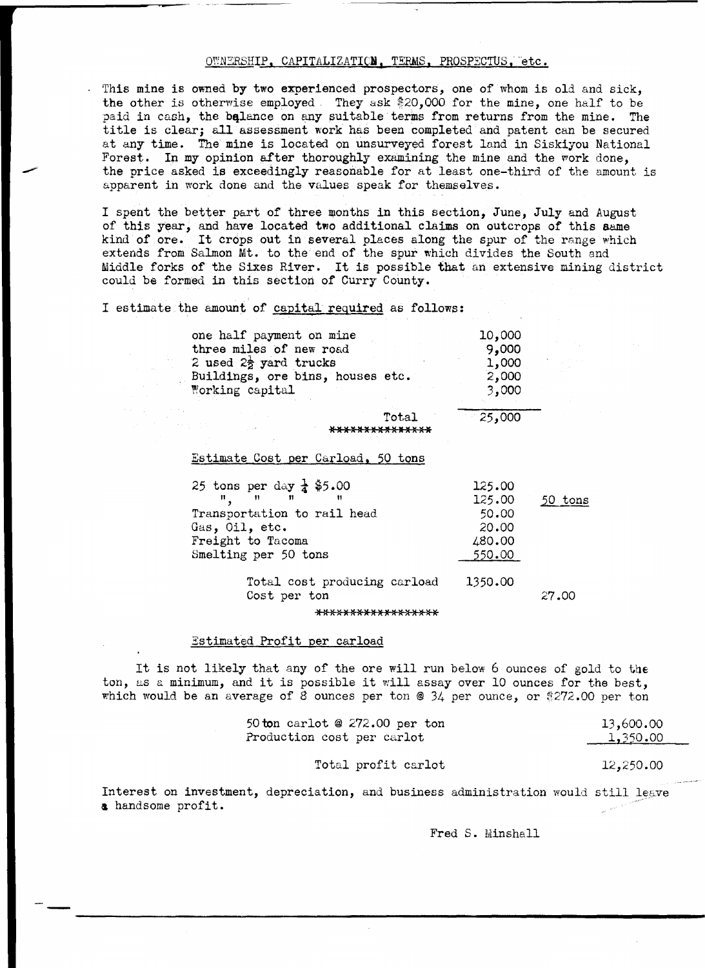#### OWNERSHIP, CAPITALIZATION, TERMS, PROSPECTUS, etc.

This mine is owned by two experienced prospectors, one of whom is old and sick, the other is otherwise employed They ask \$20,000 for the mine, one half to be paid in cash, the balance on any suitable terms from returns from the mine. The title is clear; all assessment work has been completed and patent can be secured at any time. The mine is located on unsurveyed forest land in Siskiyou National Forest. In my opinion after thoroughly examining the mine and the work done, the price asked is exceedingly reasonable for at least one-third of the amount is apparent in work done and the values speak for themselves.

I spent the better part of three months in this section, June, July and August of this year, and have located two additional claims on outcrops of this same kind of ore. It crops out in several places along the spur of the range which extends from Salmon Mt. to the end of the spur which divides the South and Middle forks of the Sixes River. It is possible that an extensive mining district could be formed 1n this section of Curry County.

I estimate the amount of capital required as follows:

| one half payment on mine          | 10,000 |
|-----------------------------------|--------|
| three miles of new road           | 9,000  |
| 2 used $2\frac{1}{2}$ yard trucks | 1,000  |
| Buildings, ore bins, houses etc.  | 2,000  |
| Working capital                   | 3,000  |
|                                   |        |

Total **IOI** )( lilt **lU lOl lOI )()I** )( **l(** 

#### Estimate Cost per Carload, 50 tons

| 25 tons per day $\frac{1}{4}$ \$5.00                                             | 125.00 |         |
|----------------------------------------------------------------------------------|--------|---------|
| $\mathbf{H}$ and $\mathbf{H}$ and $\mathbf{H}$ and $\mathbf{H}$ and $\mathbf{H}$ | 125.00 | 50 tons |
| Transportation to rail head                                                      | 50.00  |         |
| Gas, Oil, etc.                                                                   | 20.00  |         |
| Freight to Tacoma                                                                | 480.00 |         |
| Smelting per 50 tons                                                             | 550.00 |         |
|                                                                                  |        |         |

Total cost producing carload Cost per ton 1350.00 27.00

\*\*\*\*\*\*\*\*\*\*\*\*\*\*\*\*\*\*

#### Estimated Profit per carload

It is not likely that any of the ore will run below 6 ounces of gold to **the**  ton, as a minimum, and it is possible it will assay over 10 ounces for the best. which would be an average of 8 ounces per ton @ 34 per ounce, or  $$272.00$  per ton

| 50 ton carlot @ $272.00$ per ton | 13,600.00 |
|----------------------------------|-----------|
| Production cost per carlot       | 1,350.00  |
|                                  |           |

Total profit carlot 12,250.00

25,000

Interest on investment, depreciation, and business administration would still leave & handsome profit.

Fred S. Minshall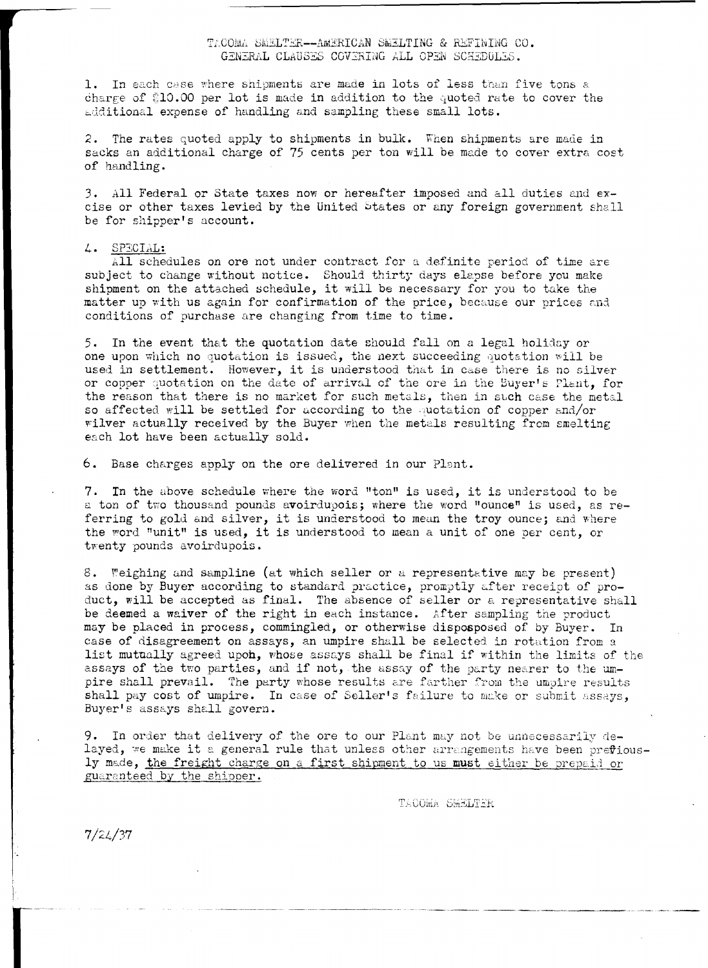1. In each case where shipments are made in lots of less than five tons a charge of \$10.00 per lot is made in addition to the quoted rate to cover the additional expense of handling and sampling these small lots.

2. The rates quoted apply to shipments in bulk. When shipments are made in sacks an additional charge of 75 cents per ton will be made to cover extra cost of handling.

3. All Federal or State taxes now or hereafter imposed and all duties and excise or other taxes levied by the United States or any foreign government shall be for shipper's account.

#### 4. SPECIAL:

All schedules on ore not under contract for a definite period of time are subject to change without notice. Should thirty days elepse before you make shipment on the attached schedule, it will be necessary for you to take the matter up with us again for confirmation of the price, because our prices and conditions of purchase are changing from time to time.

5. In the event that the quotation date should fall on a legal holiday or one upon which no quotation is issued, the next succeeding quotation will be used in settlement. However, it is understood that in case there is no silver or copper quotation on the date of arrival of the ore in the Buyer's Plant, for the reason that there is no market for such metals, then in such case the metal so affected will be settled for according to the quotation of copper and/or wilver actually received by the Buyer when the metals resulting from smelting each lot have been actually sold.

6. Base charges apply on the ore delivered in our Plant.

7. In the above schedule where the word "ton" is used, it is understood to be a ton of two thousand pounds avoirdupois; where the word "ounce" is used, as referring to gold and silver, it is understood to mean the troy ounce; and where the word "unit" is used, it is understood to mean a unit of one per cent, or twenty pounds avoirdupois.

8. Weighing and sampline (at which seller or a representative may be present) as done by Buyer according to standard practice, promptly after receipt of pro-<br>duct, will be accepted as final. The absence of seller or a representative shall be deemed a waiver of the right in each instance. After sampling the product may be placed in process, commingled, or otherwise disposposed of by Buyer. In case of disagreement on assays, an umpire shall be selected in rotation from a list mutually agreed upon, whose assays shall be final if within the limits of the assays of the two parties, and if not, the assay of the party nearer to the umpire shall prevail. The party whose results are farther from the umpire results shall pay cost of umpire. In case of Seller's failure to make or submit assays, Buyer's assays shall govern.

9. In order that delivery of the ore to our Plant may not be unnecessarily delayed, we make it a general rule that unless other arrangements have been prefiously made, the freight charge on a first shipment to us must either be prepaid or guaranteed by the shipper.

TACOMA SMELTER

 $7/24/37$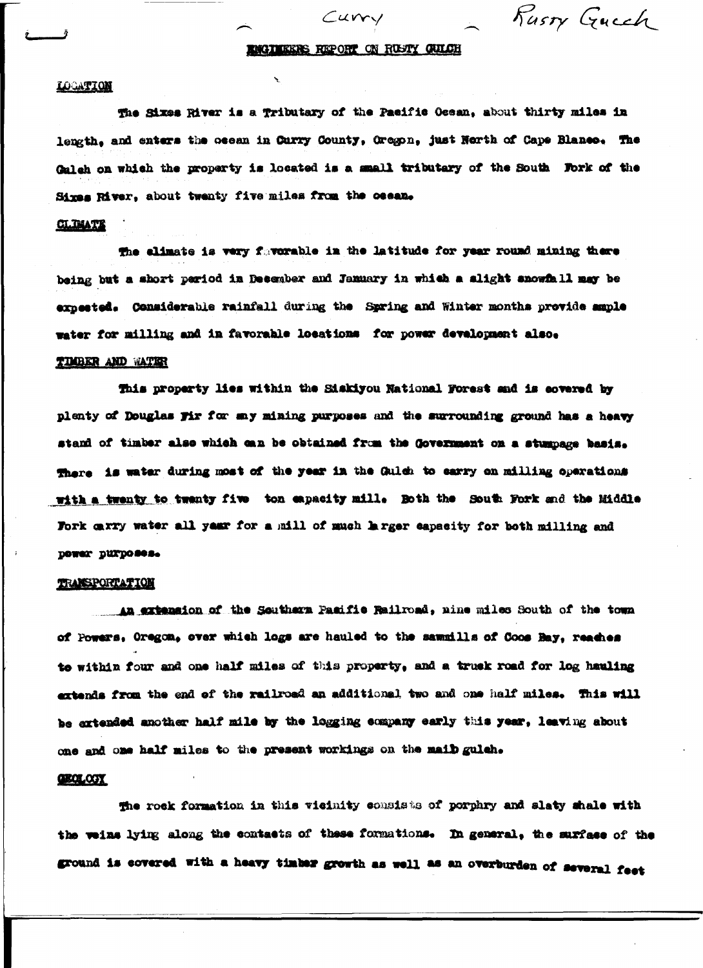Rusty Guech

#### ENGINEERS REPORT ON RUSTY QUILCH

Curry

#### **LOCATION**

The Sixes River is a Tributary of the Pacific Ocean, about thirty miles in length, and enters the ocean in Curry County, Oregon, just North of Cape Blanco. The Galeh on which the property is located is a small tributary of the South Fork of the Sixes River, about twenty five miles from the ocean.

#### **CLIMATE**

The elimate is very favorable in the latitude for year round mining there being but a short period in December and January in which a slight snowfall may be expected. Considerable rainfall during the Spring and Winter months provide smple water for milling and in favorable locations for power development also.

#### TIMBER AND WATER

This property lies within the Siakiyou National Forest and is covered by plenty of Douglas Fir for any mining purposes and the surrounding ground has a heavy stand of timber also which can be obtained from the Government on a stumpage basis. There is water during most of the year in the Gulch to carry on milling operations with a twenty to twenty five ton expacity mill. Both the South Fork and the Middle Fork carry water all year for a mill of much larger eapseity for both milling and power purposes.

#### TRANSPORTATION

An extension of the Southern Pasific Railroad, nine miles South of the town of Powers, Oregon, over which logs are hauled to the sawmills of Coos Hay, reaches to within four and one half miles of this property, and a truck road for log hauling extends from the end of the railroad an additional two and one half miles. This will be extended another half mile by the logging company early this year, leaving about one and one half miles to the present workings on the maib gulah.

#### **GEOLOGY**

the rock formation in this vicinity consists of porphry and slaty shale with the veins lying along the contacts of these formations. In general, the surface of the ground is covered with a heavy timber growth as well as an overburden of several feet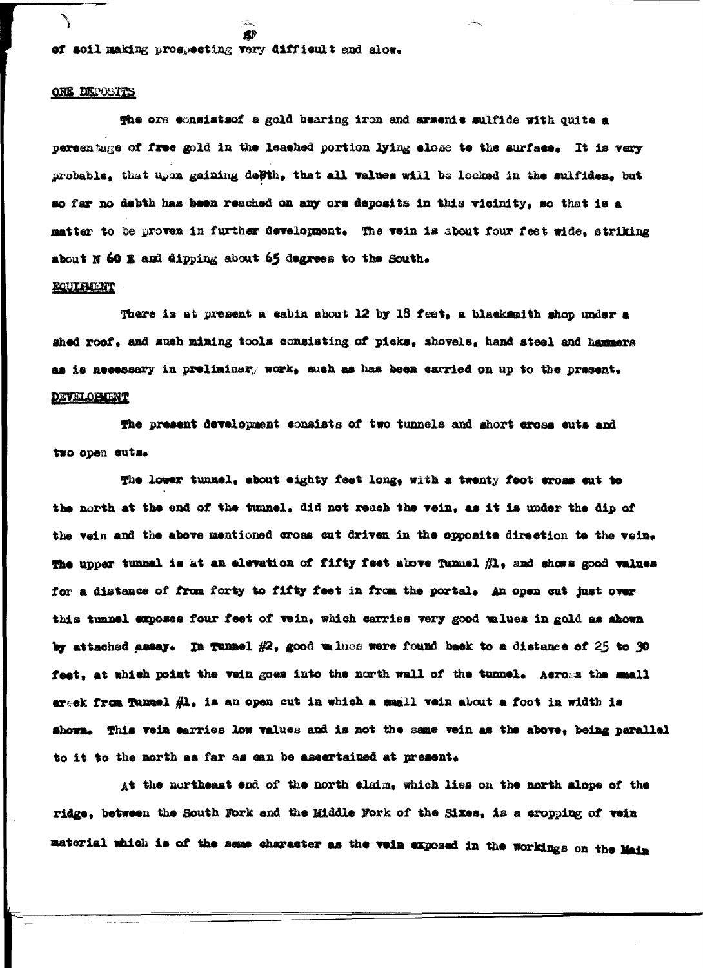of soil making prospecting very difficult and slow.

#### ORE DEPOSITS

The ore consists of a gold bearing iron and arsenie sulfide with quite a persentage of free gold in the leashed portion lying slose to the surface. It is very probable, that upon gaining dePth, that all values will be locked in the sulfides, but so far no debth has been reached on any ore deposits in this vicinity, so that is a matter to be proven in further development. The vein is about four feet wide, striking about N 60 E and dipping about 65 degrees to the South.

#### KQUIRENT

There is at present a cabin about 12 by 18 feet, a blackmaith shop under a shed roof, and such mining tools consisting of picks, shovels, hand steel and hammers as is necessary in preliminar, work, such as has been carried on up to the present.

#### **DEVELOPMENT**

The present development consists of two tunnels and short cross cuts and two open cuts.

The lower tunnel, about eighty feet long, with a twenty foot eross cut to the north at the end of the tunnel, did not reach the vein, as it is under the dip of the vein and the above mentioned cross cut driven in the opposite direction to the vein. The upper tunnel is at an elevation of fifty feet above Tunnel  $#1$ , and shows good values for a distance of from forty to fifty feet in from the portal. An open cut just over this tunnel exposes four feet of vein, which carries very good values in gold as shown by attached assay. In Tunnel  $#2$ , good which were found back to a distance of 25 to 30 feet, at which point the vein goes into the north wall of the tunnel. Across the mmall ereek from Tunnel #1, is an open cut in which a small vein about a foot in width is shown. This vein earries low values and is not the same vein as the above, being parallel to it to the north as far as can be ascertained at present.

At the northeast end of the north claim, which lies on the north alope of the ridge, between the South Fork and the Middle Fork of the Sixes, is a eropping of vein material which is of the same character as the vein exposed in the workings on the Main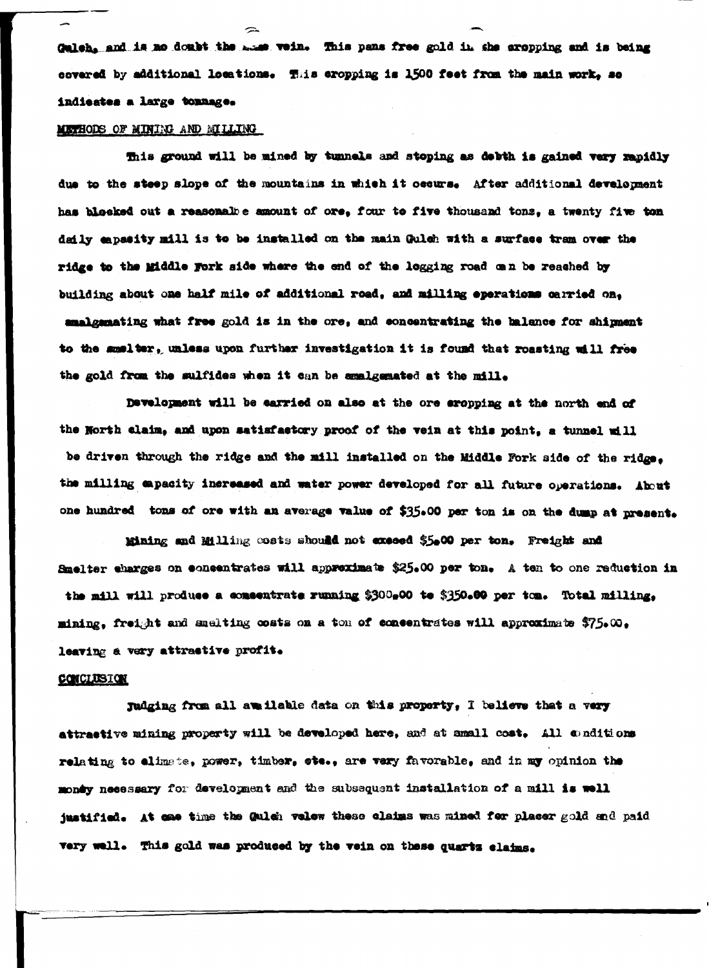dulch, and is no doubt the mass vein. This pans free gold in the aropping and is being covered by additional locations. This eropping is 1500 feet from the main work, so indicates a large tonnage.

 $\rightarrow$ 

#### METHODS OF MINIMO AND MILLING

This ground will be mined by tunnels and stoping as debth is gained very rapidly due to the steep slope of the mountains in which it occurs. After additional development has blocked out a reasonale e maount of ore, four to five thousand tons, a twenty five ton daily enpasity mill is to be installed on the main Gulch with a surface tram over the ridge to the Middle Fork side where the end of the logging road can be reached by building about one half mile of additional road, and milling eperations carried on, amalgemating what free gold is in the ore, and concentrating the balance for shipment to the smalter, unless upon further investigation it is found that roasting will free the gold from the sulfides when it can be amalgemated at the mill.

Development will be carried on also at the ore eropping at the north end of the North claim, and upon satisfactory proof of the vein at this point, a tunnel will be driven through the ridge and the mill installed on the Middle Fork side of the ridge. the milling eapacity increased and water power developed for all future operations. About one hundred tons of ore with an average value of \$35.00 per ton is on the dump at present.

Mining and Milling costs should not exceed \$5.00 per ton. Freight and Smelter charges on concentrates will approximate \$25.00 per ton. A ten to one reduction in the mill will produce a commetrate running \$300,00 to \$350.00 per ton. Total milling, mining, freight and anelting costs on a ton of concentrates will approximate  $$75.00$ , leaving a very attractive profit.

#### CONCLUSION

Judging from all available data on this property, I believe that a very attractive mining property will be developed here, and at small cost. All conditions relating to elimate, power, timber, etc., are very favorable, and in my opinion the mondy neessary for development and the subsequent installation of a mill is well justified. At one time the Gulch velow these claims was mined for placer gold and paid very well. This gold was produced by the vein on these quartz claims.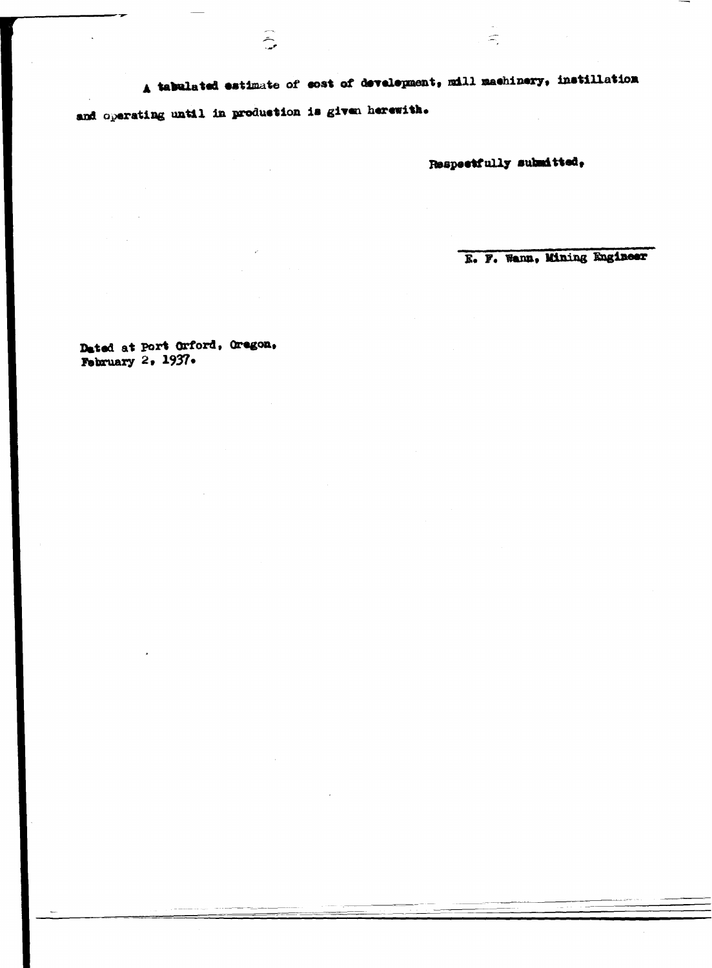A tabulated estimate of cost of development, mill machinery, instillation

and operating until in production is given herewith.

 $\sum_{i=1}^{n}$ 

Respectfully submitted,

 $\mathbb{H}$ 

E. F. Wann, Mining Engineer

Dated at Port Orford, Oregon, February  $2.1937.$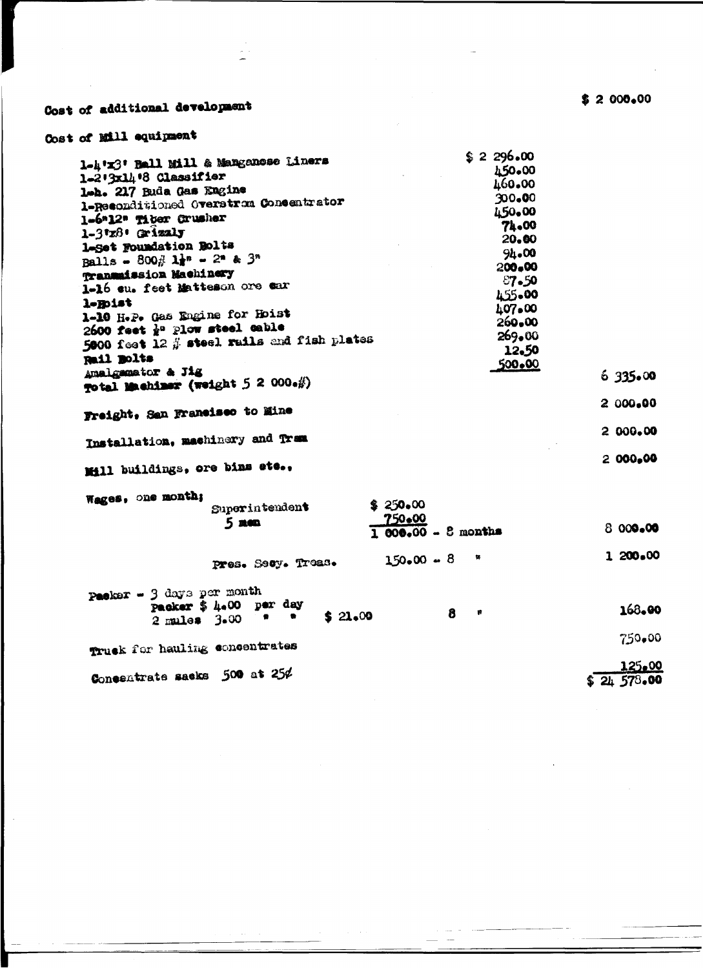## Cost of additional development

### Cost of Mill equipment

| 1-4'x3' Ball Mill & Manganose Liners<br>1-2'3x14'8 Classifier<br>lah. 217 Buda Gas Engine<br>1-Reconditioned Overstron Concentrator<br>1-6*12* Tiber Crusher<br>1-3'z8' Grizaly<br>1-Set Foundation Bolts<br>Balls - 800 $\frac{1}{6}$ 1 = 2* & 3*<br>Transmission Machinery<br>1-16 eu. feet Matteson ore ear<br>l-Roist<br>1-10 H.P. Gas Engine for Hoist<br>2600 feet $\frac{1}{2}$ <sup>o</sup> Plow steel cable<br>5000 feet 12 $\#$ steel rails and fish plates | \$2,296.00<br>150.00<br>460.00<br>300.00<br>450.00<br>74.00<br>20.00<br>94.00<br>200.00<br>87.50<br>455.00<br>107.00<br>$260 - 00$<br>269.00 |           |
|-----------------------------------------------------------------------------------------------------------------------------------------------------------------------------------------------------------------------------------------------------------------------------------------------------------------------------------------------------------------------------------------------------------------------------------------------------------------------|----------------------------------------------------------------------------------------------------------------------------------------------|-----------|
| Rail Bolts                                                                                                                                                                                                                                                                                                                                                                                                                                                            | 12.50<br>500.00                                                                                                                              |           |
| Amalgamator & Jig<br>Total Machiner (weight 5 2 000.#)                                                                                                                                                                                                                                                                                                                                                                                                                |                                                                                                                                              | 6335.00   |
| Freight, San Francisco to Mine                                                                                                                                                                                                                                                                                                                                                                                                                                        |                                                                                                                                              | 2 000,00  |
|                                                                                                                                                                                                                                                                                                                                                                                                                                                                       |                                                                                                                                              | 2 000.00  |
| Installation, machinery and Trem                                                                                                                                                                                                                                                                                                                                                                                                                                      |                                                                                                                                              |           |
| Mill buildings, ore bins ete.,                                                                                                                                                                                                                                                                                                                                                                                                                                        |                                                                                                                                              | 2 000,00  |
| Wages, one month;<br>\$250,00<br>Superintendent<br>750.00<br>$5 \text{ mm}$                                                                                                                                                                                                                                                                                                                                                                                           | $1000,00 - 3$ months                                                                                                                         | 8 000.00  |
| Pres. Secy. Treas.                                                                                                                                                                                                                                                                                                                                                                                                                                                    | 铢<br>$150.00 - 8$                                                                                                                            | 1 200.00  |
| Packer - 3 days per month<br>packer \$ 4.00 per day<br>\$21,00<br>$\bullet$<br>$\blacksquare$<br>$2$ mules $3.00$                                                                                                                                                                                                                                                                                                                                                     | 8<br>費                                                                                                                                       | 168.00    |
| Truck for hauling concentrates                                                                                                                                                                                                                                                                                                                                                                                                                                        |                                                                                                                                              | 750.00    |
|                                                                                                                                                                                                                                                                                                                                                                                                                                                                       |                                                                                                                                              | 125.00    |
| Concentrate sacks 500 at 25¢                                                                                                                                                                                                                                                                                                                                                                                                                                          |                                                                                                                                              | 24,578.00 |

 $$2000,00$